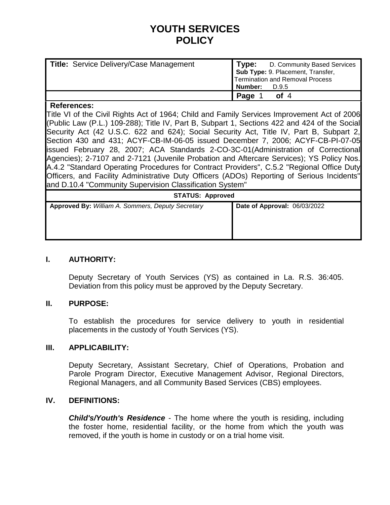# **YOUTH SERVICES POLICY**

| <b>Title: Service Delivery/Case Management</b> | <b>Type:</b> D. Community Based Services<br>Sub Type: 9. Placement, Transfer,<br><b>Termination and Removal Process</b><br>  Number:<br>D.9.5 |
|------------------------------------------------|-----------------------------------------------------------------------------------------------------------------------------------------------|
|                                                | of $4$<br>Page                                                                                                                                |

#### **References:**

Title VI of the Civil Rights Act of 1964; Child and Family Services Improvement Act of 2006 (Public Law (P.L.) 109-288); Title IV, Part B, Subpart 1, Sections 422 and 424 of the Social Security Act (42 U.S.C. 622 and 624); Social Security Act, Title IV, Part B, Subpart 2, Section 430 and 431; ACYF-CB-IM-06-05 issued December 7, 2006; ACYF-CB-PI-07-05 issued February 28, 2007; ACA Standards 2-CO-3C-01(Administration of Correctional Agencies); 2-7107 and 2-7121 (Juvenile Probation and Aftercare Services); YS Policy Nos. A.4.2 "Standard Operating Procedures for Contract Providers", C.5.2 "Regional Office Duty Officers, and Facility Administrative Duty Officers (ADOs) Reporting of Serious Incidents" and D.10.4 "Community Supervision Classification System"

#### **STATUS: Approved**

| $U1$ $U2$ $U3$ $U4$ $U5$ $U6$                     |                              |
|---------------------------------------------------|------------------------------|
| Approved By: William A. Sommers, Deputy Secretary | Date of Approval: 06/03/2022 |
|                                                   |                              |

## **I. AUTHORITY:**

Deputy Secretary of Youth Services (YS) as contained in La. R.S. 36:405. Deviation from this policy must be approved by the Deputy Secretary.

## **II. PURPOSE:**

To establish the procedures for service delivery to youth in residential placements in the custody of Youth Services (YS).

#### **III. APPLICABILITY:**

Deputy Secretary, Assistant Secretary, Chief of Operations, Probation and Parole Program Director, Executive Management Advisor, Regional Directors, Regional Managers, and all Community Based Services (CBS) employees.

#### **IV. DEFINITIONS:**

*Child's/Youth's Residence* - The home where the youth is residing, including the foster home, residential facility, or the home from which the youth was removed, if the youth is home in custody or on a trial home visit.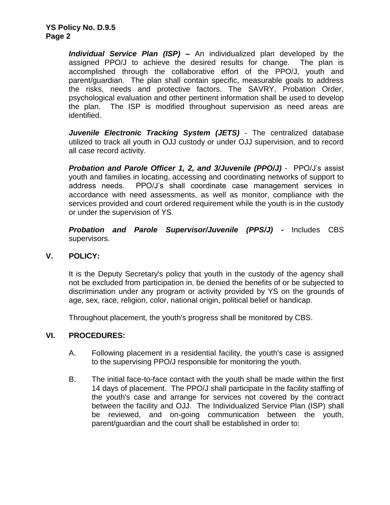*Individual Service Plan (ISP) –* An individualized plan developed by the assigned PPO/J to achieve the desired results for change. The plan is accomplished through the collaborative effort of the PPO/J, youth and parent/guardian. The plan shall contain specific, measurable goals to address the risks, needs and protective factors. The SAVRY, Probation Order, psychological evaluation and other pertinent information shall be used to develop the plan. The ISP is modified throughout supervision as need areas are identified.

*Juvenile Electronic Tracking System (JETS)* - The centralized database utilized to track all youth in OJJ custody or under OJJ supervision, and to record all case record activity.

*Probation and Parole Officer 1, 2, and 3/Juvenile (PPO/J)* - PPO/J's assist youth and families in locating, accessing and coordinating networks of support to address needs. PPO/J's shall coordinate case management services in accordance with need assessments, as well as monitor, compliance with the services provided and court ordered requirement while the youth is in the custody or under the supervision of YS.

*Probation and Parole Supervisor/Juvenile (PPS/J) -* Includes CBS supervisors.

# **V. POLICY:**

It is the Deputy Secretary's policy that youth in the custody of the agency shall not be excluded from participation in, be denied the benefits of or be subjected to discrimination under any program or activity provided by YS on the grounds of age, sex, race, religion, color, national origin, political belief or handicap.

Throughout placement, the youth's progress shall be monitored by CBS.

## **VI. PROCEDURES:**

- A. Following placement in a residential facility, the youth's case is assigned to the supervising PPO/J responsible for monitoring the youth.
- B. The initial face-to-face contact with the youth shall be made within the first 14 days of placement. The PPO/J shall participate in the facility staffing of the youth's case and arrange for services not covered by the contract between the facility and OJJ. The Individualized Service Plan (ISP) shall be reviewed, and on-going communication between the youth, parent/guardian and the court shall be established in order to: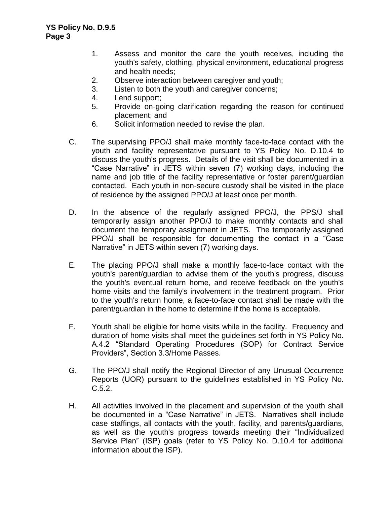- 1. Assess and monitor the care the youth receives, including the youth's safety, clothing, physical environment, educational progress and health needs;
- 2. Observe interaction between caregiver and youth;
- 3. Listen to both the youth and caregiver concerns;
- 4. Lend support;
- 5. Provide on-going clarification regarding the reason for continued placement; and
- 6. Solicit information needed to revise the plan.
- C. The supervising PPO/J shall make monthly face-to-face contact with the youth and facility representative pursuant to YS Policy No. D.10.4 to discuss the youth's progress. Details of the visit shall be documented in a "Case Narrative" in JETS within seven (7) working days, including the name and job title of the facility representative or foster parent/guardian contacted. Each youth in non-secure custody shall be visited in the place of residence by the assigned PPO/J at least once per month.
- D. In the absence of the regularly assigned PPO/J, the PPS/J shall temporarily assign another PPO/J to make monthly contacts and shall document the temporary assignment in JETS. The temporarily assigned PPO/J shall be responsible for documenting the contact in a "Case Narrative" in JETS within seven (7) working days.
- E. The placing PPO/J shall make a monthly face-to-face contact with the youth's parent/guardian to advise them of the youth's progress, discuss the youth's eventual return home, and receive feedback on the youth's home visits and the family's involvement in the treatment program. Prior to the youth's return home, a face-to-face contact shall be made with the parent/guardian in the home to determine if the home is acceptable.
- F. Youth shall be eligible for home visits while in the facility. Frequency and duration of home visits shall meet the guidelines set forth in YS Policy No. A.4.2 "Standard Operating Procedures (SOP) for Contract Service Providers", Section 3.3/Home Passes.
- G. The PPO/J shall notify the Regional Director of any Unusual Occurrence Reports (UOR) pursuant to the guidelines established in YS Policy No. C.5.2.
- H. All activities involved in the placement and supervision of the youth shall be documented in a "Case Narrative" in JETS. Narratives shall include case staffings, all contacts with the youth, facility, and parents/guardians, as well as the youth's progress towards meeting their "Individualized Service Plan" (ISP) goals (refer to YS Policy No. D.10.4 for additional information about the ISP).